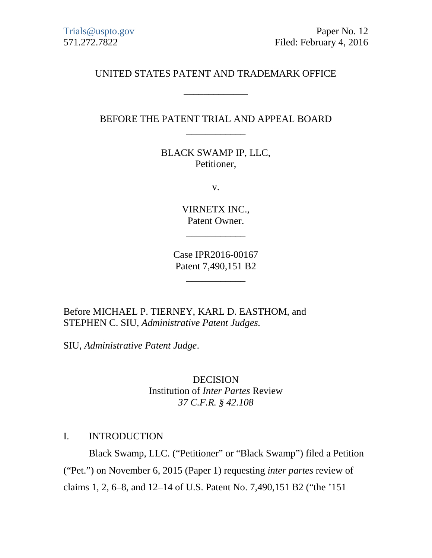# UNITED STATES PATENT AND TRADEMARK OFFICE

\_\_\_\_\_\_\_\_\_\_\_\_\_

# BEFORE THE PATENT TRIAL AND APPEAL BOARD \_\_\_\_\_\_\_\_\_\_\_\_

BLACK SWAMP IP, LLC, Petitioner,

v.

VIRNETX INC., Patent Owner.

\_\_\_\_\_\_\_\_\_\_\_\_

Case IPR2016-00167 Patent 7,490,151 B2

\_\_\_\_\_\_\_\_\_\_\_\_

Before MICHAEL P. TIERNEY, KARL D. EASTHOM, and STEPHEN C. SIU, *Administrative Patent Judges.*

SIU, *Administrative Patent Judge*.

DECISION Institution of *Inter Partes* Review *37 C.F.R. § 42.108*

#### I. INTRODUCTION

Black Swamp, LLC. ("Petitioner" or "Black Swamp") filed a Petition ("Pet.") on November 6, 2015 (Paper 1) requesting *inter partes* review of claims 1, 2, 6–8, and 12–14 of U.S. Patent No. 7,490,151 B2 ("the '151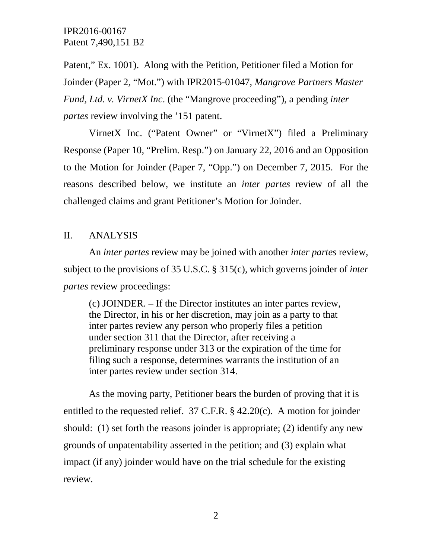Patent," Ex. 1001). Along with the Petition, Petitioner filed a Motion for Joinder (Paper 2, "Mot.") with IPR2015-01047, *Mangrove Partners Master Fund, Ltd. v. VirnetX Inc*. (the "Mangrove proceeding"), a pending *inter partes* review involving the '151 patent.

VirnetX Inc. ("Patent Owner" or "VirnetX") filed a Preliminary Response (Paper 10, "Prelim. Resp.") on January 22, 2016 and an Opposition to the Motion for Joinder (Paper 7, "Opp.") on December 7, 2015. For the reasons described below, we institute an *inter partes* review of all the challenged claims and grant Petitioner's Motion for Joinder.

#### II. ANALYSIS

An *inter partes* review may be joined with another *inter partes* review, subject to the provisions of 35 U.S.C. § 315(c), which governs joinder of *inter partes* review proceedings:

(c) JOINDER. – If the Director institutes an inter partes review, the Director, in his or her discretion, may join as a party to that inter partes review any person who properly files a petition under section 311 that the Director, after receiving a preliminary response under 313 or the expiration of the time for filing such a response, determines warrants the institution of an inter partes review under section 314.

As the moving party, Petitioner bears the burden of proving that it is entitled to the requested relief. 37 C.F.R. § 42.20(c). A motion for joinder should: (1) set forth the reasons joinder is appropriate; (2) identify any new grounds of unpatentability asserted in the petition; and (3) explain what impact (if any) joinder would have on the trial schedule for the existing review.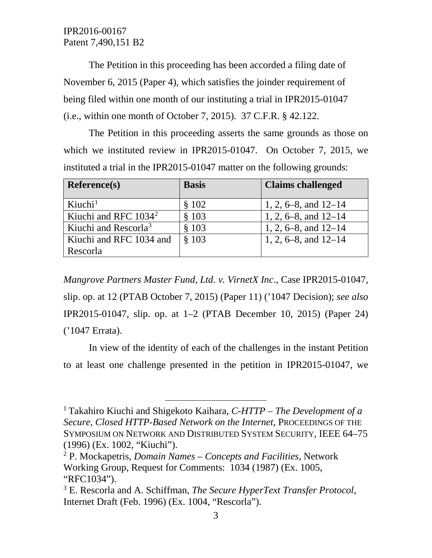The Petition in this proceeding has been accorded a filing date of November 6, 2015 (Paper 4), which satisfies the joinder requirement of being filed within one month of our instituting a trial in IPR2015-01047 (i.e., within one month of October 7, 2015). 37 C.F.R. § 42.122.

The Petition in this proceeding asserts the same grounds as those on which we instituted review in IPR2015-01047. On October 7, 2015, we instituted a trial in the IPR2015-01047 matter on the following grounds:

| <b>Reference(s)</b>              | <b>Basis</b> | <b>Claims challenged</b> |
|----------------------------------|--------------|--------------------------|
| Kiuchi <sup>1</sup>              | \$102        | 1, 2, 6–8, and $12-14$   |
| Kiuchi and RFC $1034^2$          | \$103        | 1, 2, 6–8, and $12-14$   |
| Kiuchi and Rescorla <sup>3</sup> | \$103        | 1, 2, 6–8, and $12-14$   |
| Kiuchi and RFC 1034 and          | \$103        | 1, 2, 6–8, and $12-14$   |
| Rescorla                         |              |                          |

*Mangrove Partners Master Fund, Ltd. v. VirnetX Inc*., Case IPR2015-01047, slip. op. at 12 (PTAB October 7, 2015) (Paper 11) ('1047 Decision); *see also* IPR2015-01047, slip. op. at 1–2 (PTAB December 10, 2015) (Paper 24) ('1047 Errata).

In view of the identity of each of the challenges in the instant Petition to at least one challenge presented in the petition in IPR2015-01047, we

<span id="page-2-0"></span> <sup>1</sup> Takahiro Kiuchi and Shigekoto Kaihara, *C-HTTP – The Development of a Secure, Closed HTTP-Based Network on the Internet*, PROCEEDINGS OF THE SYMPOSIUM ON NETWORK AND DISTRIBUTED SYSTEM SECURITY, IEEE 64–75 (1996) (Ex. 1002, "Kiuchi").

<span id="page-2-1"></span><sup>2</sup> P. Mockapetris, *Domain Names – Concepts and Facilities*, Network Working Group, Request for Comments: 1034 (1987) (Ex. 1005, "RFC1034").

<span id="page-2-2"></span><sup>3</sup> E. Rescorla and A. Schiffman, *The Secure HyperText Transfer Protocol*, Internet Draft (Feb. 1996) (Ex. 1004, "Rescorla").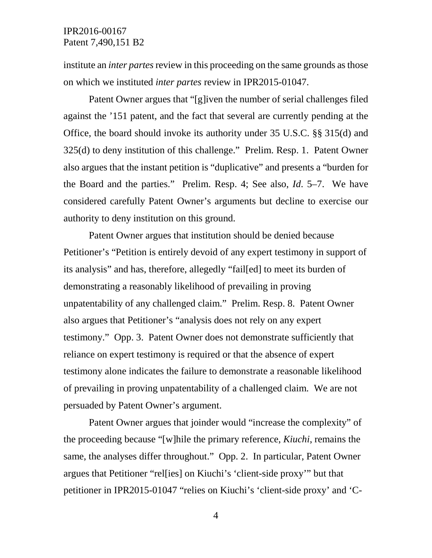institute an *inter partes* review in this proceeding on the same grounds as those on which we instituted *inter partes* review in IPR2015-01047.

Patent Owner argues that "[g]iven the number of serial challenges filed against the '151 patent, and the fact that several are currently pending at the Office, the board should invoke its authority under 35 U.S.C. §§ 315(d) and 325(d) to deny institution of this challenge." Prelim. Resp. 1. Patent Owner also argues that the instant petition is "duplicative" and presents a "burden for the Board and the parties." Prelim. Resp. 4; See also, *Id*. 5–7. We have considered carefully Patent Owner's arguments but decline to exercise our authority to deny institution on this ground.

Patent Owner argues that institution should be denied because Petitioner's "Petition is entirely devoid of any expert testimony in support of its analysis" and has, therefore, allegedly "fail[ed] to meet its burden of demonstrating a reasonably likelihood of prevailing in proving unpatentability of any challenged claim." Prelim. Resp. 8. Patent Owner also argues that Petitioner's "analysis does not rely on any expert testimony." Opp. 3. Patent Owner does not demonstrate sufficiently that reliance on expert testimony is required or that the absence of expert testimony alone indicates the failure to demonstrate a reasonable likelihood of prevailing in proving unpatentability of a challenged claim. We are not persuaded by Patent Owner's argument.

Patent Owner argues that joinder would "increase the complexity" of the proceeding because "[w]hile the primary reference, *Kiuchi*, remains the same, the analyses differ throughout." Opp. 2. In particular, Patent Owner argues that Petitioner "rel[ies] on Kiuchi's 'client-side proxy'" but that petitioner in IPR2015-01047 "relies on Kiuchi's 'client-side proxy' and 'C-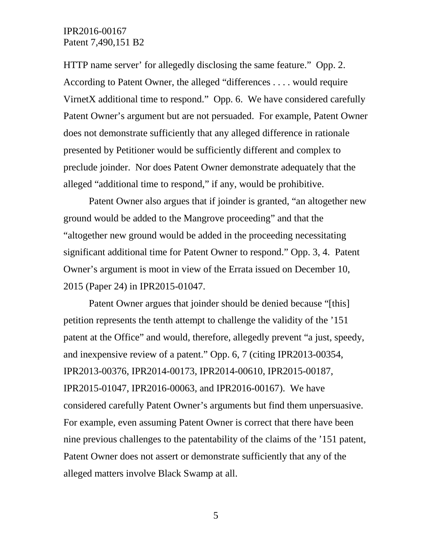HTTP name server' for allegedly disclosing the same feature." Opp. 2. According to Patent Owner, the alleged "differences . . . . would require VirnetX additional time to respond." Opp. 6. We have considered carefully Patent Owner's argument but are not persuaded. For example, Patent Owner does not demonstrate sufficiently that any alleged difference in rationale presented by Petitioner would be sufficiently different and complex to preclude joinder. Nor does Patent Owner demonstrate adequately that the alleged "additional time to respond," if any, would be prohibitive.

Patent Owner also argues that if joinder is granted, "an altogether new ground would be added to the Mangrove proceeding" and that the "altogether new ground would be added in the proceeding necessitating significant additional time for Patent Owner to respond." Opp. 3, 4. Patent Owner's argument is moot in view of the Errata issued on December 10, 2015 (Paper 24) in IPR2015-01047.

Patent Owner argues that joinder should be denied because "[this] petition represents the tenth attempt to challenge the validity of the '151 patent at the Office" and would, therefore, allegedly prevent "a just, speedy, and inexpensive review of a patent." Opp. 6, 7 (citing IPR2013-00354, IPR2013-00376, IPR2014-00173, IPR2014-00610, IPR2015-00187, IPR2015-01047, IPR2016-00063, and IPR2016-00167). We have considered carefully Patent Owner's arguments but find them unpersuasive. For example, even assuming Patent Owner is correct that there have been nine previous challenges to the patentability of the claims of the '151 patent, Patent Owner does not assert or demonstrate sufficiently that any of the alleged matters involve Black Swamp at all.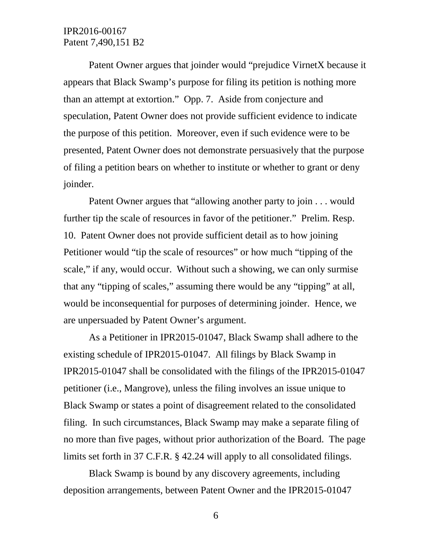Patent Owner argues that joinder would "prejudice VirnetX because it appears that Black Swamp's purpose for filing its petition is nothing more than an attempt at extortion." Opp. 7. Aside from conjecture and speculation, Patent Owner does not provide sufficient evidence to indicate the purpose of this petition. Moreover, even if such evidence were to be presented, Patent Owner does not demonstrate persuasively that the purpose of filing a petition bears on whether to institute or whether to grant or deny joinder.

Patent Owner argues that "allowing another party to join . . . would further tip the scale of resources in favor of the petitioner." Prelim. Resp. 10. Patent Owner does not provide sufficient detail as to how joining Petitioner would "tip the scale of resources" or how much "tipping of the scale," if any, would occur. Without such a showing, we can only surmise that any "tipping of scales," assuming there would be any "tipping" at all, would be inconsequential for purposes of determining joinder. Hence, we are unpersuaded by Patent Owner's argument.

As a Petitioner in IPR2015-01047, Black Swamp shall adhere to the existing schedule of IPR2015-01047. All filings by Black Swamp in IPR2015-01047 shall be consolidated with the filings of the IPR2015-01047 petitioner (i.e., Mangrove), unless the filing involves an issue unique to Black Swamp or states a point of disagreement related to the consolidated filing. In such circumstances, Black Swamp may make a separate filing of no more than five pages, without prior authorization of the Board. The page limits set forth in 37 C.F.R. § 42.24 will apply to all consolidated filings.

Black Swamp is bound by any discovery agreements, including deposition arrangements, between Patent Owner and the IPR2015-01047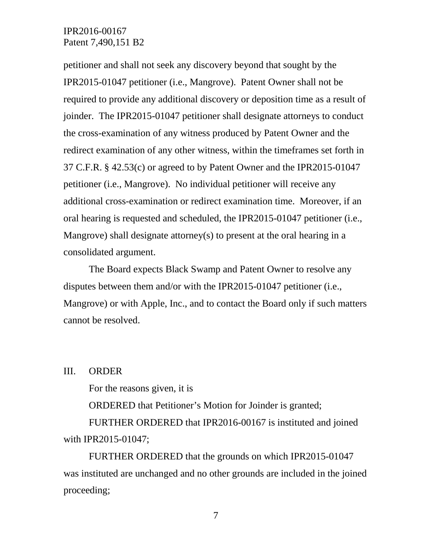petitioner and shall not seek any discovery beyond that sought by the IPR2015-01047 petitioner (i.e., Mangrove). Patent Owner shall not be required to provide any additional discovery or deposition time as a result of joinder. The IPR2015-01047 petitioner shall designate attorneys to conduct the cross-examination of any witness produced by Patent Owner and the redirect examination of any other witness, within the timeframes set forth in 37 C.F.R. § 42.53(c) or agreed to by Patent Owner and the IPR2015-01047 petitioner (i.e., Mangrove). No individual petitioner will receive any additional cross-examination or redirect examination time. Moreover, if an oral hearing is requested and scheduled, the IPR2015-01047 petitioner (i.e., Mangrove) shall designate attorney(s) to present at the oral hearing in a consolidated argument.

The Board expects Black Swamp and Patent Owner to resolve any disputes between them and/or with the IPR2015-01047 petitioner (i.e., Mangrove) or with Apple, Inc., and to contact the Board only if such matters cannot be resolved.

III. ORDER

For the reasons given, it is

ORDERED that Petitioner's Motion for Joinder is granted;

FURTHER ORDERED that IPR2016-00167 is instituted and joined with IPR2015-01047;

FURTHER ORDERED that the grounds on which IPR2015-01047 was instituted are unchanged and no other grounds are included in the joined proceeding;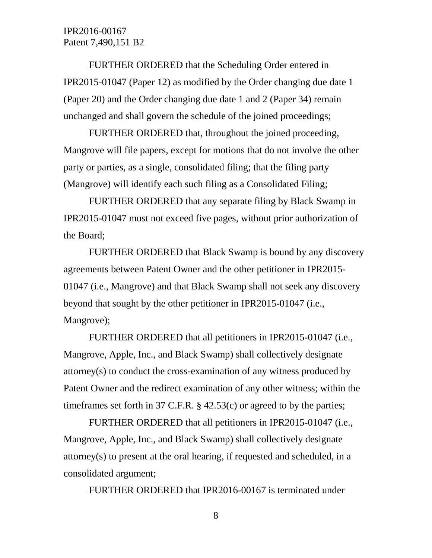FURTHER ORDERED that the Scheduling Order entered in IPR2015-01047 (Paper 12) as modified by the Order changing due date 1 (Paper 20) and the Order changing due date 1 and 2 (Paper 34) remain unchanged and shall govern the schedule of the joined proceedings;

FURTHER ORDERED that, throughout the joined proceeding, Mangrove will file papers, except for motions that do not involve the other party or parties, as a single, consolidated filing; that the filing party (Mangrove) will identify each such filing as a Consolidated Filing;

FURTHER ORDERED that any separate filing by Black Swamp in IPR2015-01047 must not exceed five pages, without prior authorization of the Board;

FURTHER ORDERED that Black Swamp is bound by any discovery agreements between Patent Owner and the other petitioner in IPR2015- 01047 (i.e., Mangrove) and that Black Swamp shall not seek any discovery beyond that sought by the other petitioner in IPR2015-01047 (i.e., Mangrove);

FURTHER ORDERED that all petitioners in IPR2015-01047 (i.e., Mangrove, Apple, Inc., and Black Swamp) shall collectively designate attorney(s) to conduct the cross-examination of any witness produced by Patent Owner and the redirect examination of any other witness; within the timeframes set forth in 37 C.F.R. § 42.53(c) or agreed to by the parties;

FURTHER ORDERED that all petitioners in IPR2015-01047 (i.e., Mangrove, Apple, Inc., and Black Swamp) shall collectively designate attorney(s) to present at the oral hearing, if requested and scheduled, in a consolidated argument;

FURTHER ORDERED that IPR2016-00167 is terminated under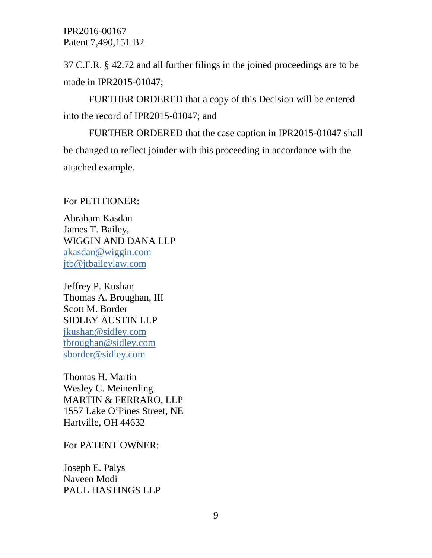37 C.F.R. § 42.72 and all further filings in the joined proceedings are to be made in IPR2015-01047;

FURTHER ORDERED that a copy of this Decision will be entered into the record of IPR2015-01047; and

FURTHER ORDERED that the case caption in IPR2015-01047 shall be changed to reflect joinder with this proceeding in accordance with the attached example.

For PETITIONER:

Abraham Kasdan James T. Bailey, WIGGIN AND DANA LLP [akasdan@wiggin.com](mailto:akasdan@wiggin.com) [jtb@jtbaileylaw.com](mailto:jtb@jtbaileylaw.com)

Jeffrey P. Kushan Thomas A. Broughan, III Scott M. Border SIDLEY AUSTIN LLP [jkushan@sidley.com](mailto:jkushan@sidley.com) [tbroughan@sidley.com](mailto:tbroughan@sidley.com) [sborder@sidley.com](mailto:sborder@sidley.com)

Thomas H. Martin Wesley C. Meinerding MARTIN & FERRARO, LLP 1557 Lake O'Pines Street, NE Hartville, OH 44632

For PATENT OWNER:

Joseph E. Palys Naveen Modi PAUL HASTINGS LLP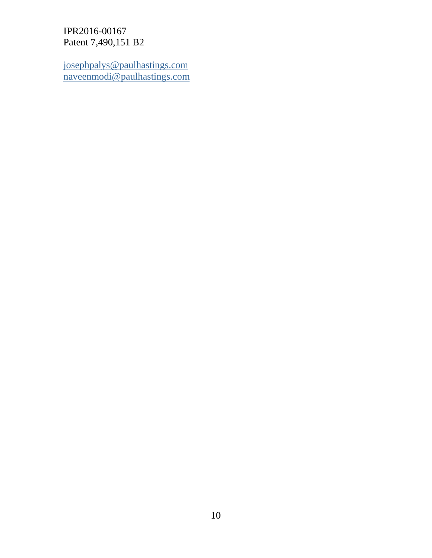[josephpalys@paulhastings.com](mailto:josephpalys@paulhastings.com) [naveenmodi@paulhastings.com](mailto:naveenmodi@paulhastings.com)